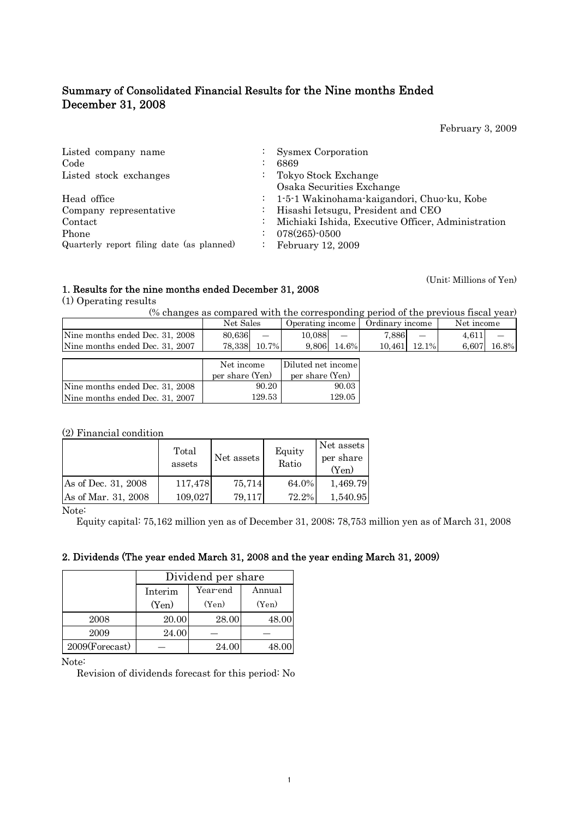# Summary of Consolidated Financial Results for the Nine months Ended December 31, 2008

February 3, 2009

(Unit: Millions of Yen)

| Listed company name<br>Code<br>Listed stock exchanges | $\mathbb{Z}^{\mathbb{Z}}$ | <b>Sysmex Corporation</b><br>6869<br>Tokyo Stock Exchange<br>Osaka Securities Exchange                                                   |
|-------------------------------------------------------|---------------------------|------------------------------------------------------------------------------------------------------------------------------------------|
| Head office<br>Company representative<br>Contact      |                           | : 1-5-1 Wakinohama-kaigandori, Chuo-ku, Kobe<br>Hisashi Ietsugu, President and CEO<br>Michiaki Ishida, Executive Officer, Administration |
| Phone<br>Quarterly report filing date (as planned)    | $\ddot{\phantom{a}}$      | $078(265)$ -0500<br>February 12, 2009                                                                                                    |

# 1. Results for the nine months ended December 31, 2008

(1) Operating results

(% changes as compared with the corresponding period of the previous fiscal year)

|                                 | Net Sales |                 | Operating income   Ordinary income |                 |        |          | Net income |       |
|---------------------------------|-----------|-----------------|------------------------------------|-----------------|--------|----------|------------|-------|
| Nine months ended Dec. 31, 2008 | 80.636    | $\qquad \qquad$ | 10.088                             | $\qquad \qquad$ | 7,886  |          | 4.611      |       |
| Nine months ended Dec. 31, 2007 | 78.338    | 10.7%           | 9.806                              | 14.6%           | 10.461 | $12.1\%$ | 6.607      | 16.8% |
|                                 |           |                 |                                    |                 |        |          |            |       |

|                                 | Net income      | Diluted net income |
|---------------------------------|-----------------|--------------------|
|                                 | per share (Yen) | per share (Yen)    |
| Nine months ended Dec. 31, 2008 | 90.20           | 90.03              |
| Nine months ended Dec. 31, 2007 | 129.53          | 129.05             |

(2) Financial condition

|                     | Total<br>assets | Net assets | Equity<br>Ratio | Net assets<br>per share<br>(Yen) |
|---------------------|-----------------|------------|-----------------|----------------------------------|
| As of Dec. 31, 2008 | 117,478         | 75,714     | 64.0%           | 1,469.79                         |
| As of Mar. 31, 2008 | 109,027         | 79,117     | 72.2%           | 1,540.95                         |

Note:

Equity capital: 75,162 million yen as of December 31, 2008; 78,753 million yen as of March 31, 2008

# 2. Dividends (The year ended March 31, 2008 and the year ending March 31, 2009)

|                | Dividend per share |          |        |  |  |  |  |  |
|----------------|--------------------|----------|--------|--|--|--|--|--|
|                | Interim            | Year-end | Annual |  |  |  |  |  |
|                | (Yen)              | (Yen)    | (Yen)  |  |  |  |  |  |
| 2008           | 20.00              | 28.00    | 48.00  |  |  |  |  |  |
| 2009           | 24.00              |          |        |  |  |  |  |  |
| 2009(Forecast) |                    | 24.00    |        |  |  |  |  |  |

Note:

Revision of dividends forecast for this period: No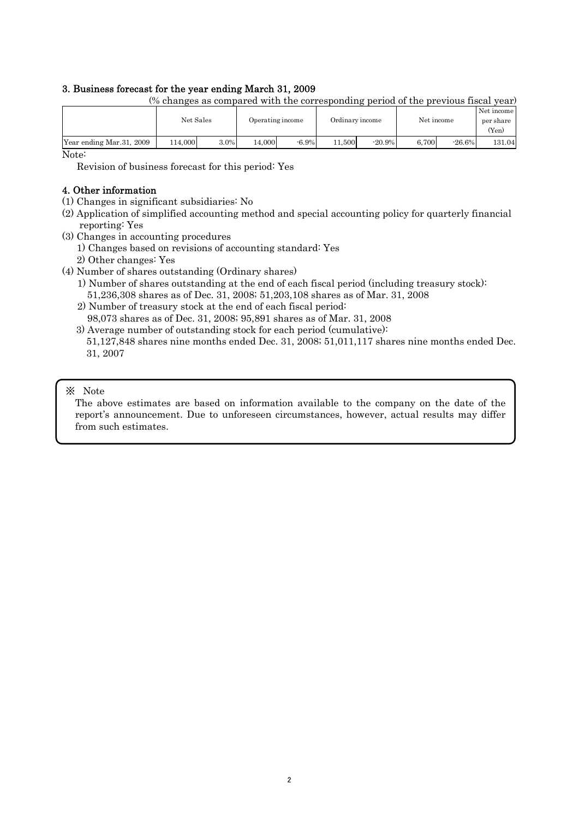### 3. Business forecast for the year ending March 31, 2009

|                           |        | Net Sales |        | Operating income |        | Ordinary income |       | Net income |                    |
|---------------------------|--------|-----------|--------|------------------|--------|-----------------|-------|------------|--------------------|
|                           |        |           |        |                  |        |                 |       |            | per share<br>(Yen) |
| Year ending Mar. 31, 2009 | 14,000 | 3.0%      | 14.000 | $-6.9\%$         | 11.500 | $-20.9%$        | 6.700 | $-26.6\%$  | 131.04             |

(% changes as compared with the corresponding period of the previous fiscal year)

Note:

Revision of business forecast for this period: Yes

### 4. Other information

- (1) Changes in significant subsidiaries: No
- (2) Application of simplified accounting method and special accounting policy for quarterly financial reporting: Yes
- (3) Changes in accounting procedures
	- 1) Changes based on revisions of accounting standard: Yes
	- 2) Other changes: Yes
- (4) Number of shares outstanding (Ordinary shares)
	- 1) Number of shares outstanding at the end of each fiscal period (including treasury stock): 51,236,308 shares as of Dec. 31, 2008; 51,203,108 shares as of Mar. 31, 2008
	- 2) Number of treasury stock at the end of each fiscal period: 98,073 shares as of Dec. 31, 2008; 95,891 shares as of Mar. 31, 2008
	- 3) Average number of outstanding stock for each period (cumulative):
	- 51,127,848 shares nine months ended Dec. 31, 2008; 51,011,117 shares nine months ended Dec. 31, 2007

#### ※ Note

The above estimates are based on information available to the company on the date of the report's announcement. Due to unforeseen circumstances, however, actual results may differ from such estimates.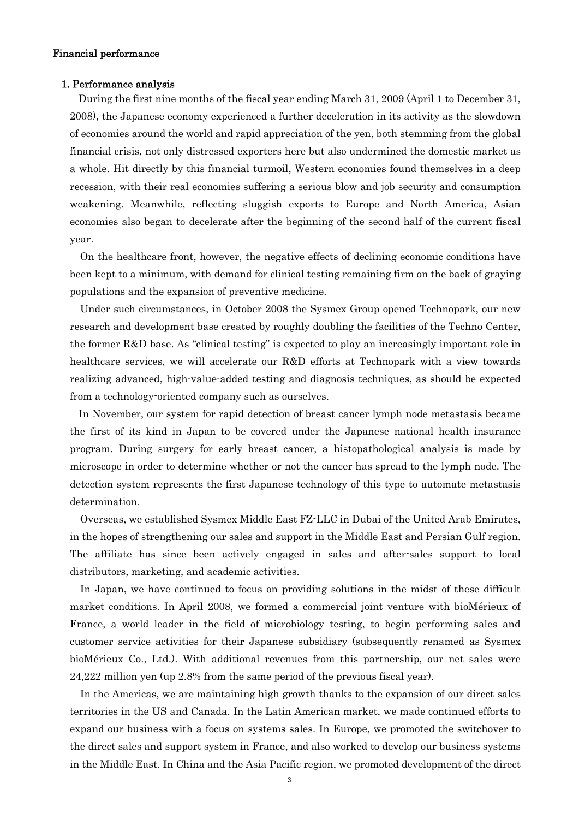### Financial performance

#### 1. Performance analysis

During the first nine months of the fiscal year ending March 31, 2009 (April 1 to December 31, 2008), the Japanese economy experienced a further deceleration in its activity as the slowdown of economies around the world and rapid appreciation of the yen, both stemming from the global financial crisis, not only distressed exporters here but also undermined the domestic market as a whole. Hit directly by this financial turmoil, Western economies found themselves in a deep recession, with their real economies suffering a serious blow and job security and consumption weakening. Meanwhile, reflecting sluggish exports to Europe and North America, Asian economies also began to decelerate after the beginning of the second half of the current fiscal year.

On the healthcare front, however, the negative effects of declining economic conditions have been kept to a minimum, with demand for clinical testing remaining firm on the back of graying populations and the expansion of preventive medicine.

Under such circumstances, in October 2008 the Sysmex Group opened Technopark, our new research and development base created by roughly doubling the facilities of the Techno Center, the former R&D base. As "clinical testing" is expected to play an increasingly important role in healthcare services, we will accelerate our R&D efforts at Technopark with a view towards realizing advanced, high-value-added testing and diagnosis techniques, as should be expected from a technology-oriented company such as ourselves.

In November, our system for rapid detection of breast cancer lymph node metastasis became the first of its kind in Japan to be covered under the Japanese national health insurance program. During surgery for early breast cancer, a histopathological analysis is made by microscope in order to determine whether or not the cancer has spread to the lymph node. The detection system represents the first Japanese technology of this type to automate metastasis determination.

Overseas, we established Sysmex Middle East FZ-LLC in Dubai of the United Arab Emirates, in the hopes of strengthening our sales and support in the Middle East and Persian Gulf region. The affiliate has since been actively engaged in sales and after-sales support to local distributors, marketing, and academic activities.

In Japan, we have continued to focus on providing solutions in the midst of these difficult market conditions. In April 2008, we formed a commercial joint venture with bioMérieux of France, a world leader in the field of microbiology testing, to begin performing sales and customer service activities for their Japanese subsidiary (subsequently renamed as Sysmex bioMérieux Co., Ltd.). With additional revenues from this partnership, our net sales were 24,222 million yen (up 2.8% from the same period of the previous fiscal year).

In the Americas, we are maintaining high growth thanks to the expansion of our direct sales territories in the US and Canada. In the Latin American market, we made continued efforts to expand our business with a focus on systems sales. In Europe, we promoted the switchover to the direct sales and support system in France, and also worked to develop our business systems in the Middle East. In China and the Asia Pacific region, we promoted development of the direct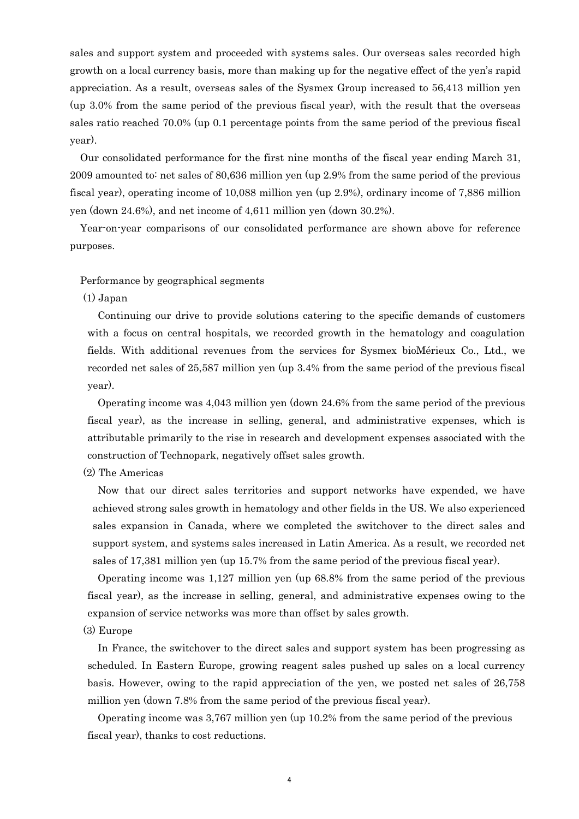sales and support system and proceeded with systems sales. Our overseas sales recorded high growth on a local currency basis, more than making up for the negative effect of the yen's rapid appreciation. As a result, overseas sales of the Sysmex Group increased to 56,413 million yen (up 3.0% from the same period of the previous fiscal year), with the result that the overseas sales ratio reached 70.0% (up 0.1 percentage points from the same period of the previous fiscal year).

Our consolidated performance for the first nine months of the fiscal year ending March 31, 2009 amounted to: net sales of 80,636 million yen (up 2.9% from the same period of the previous fiscal year), operating income of 10,088 million yen (up 2.9%), ordinary income of 7,886 million yen (down 24.6%), and net income of 4,611 million yen (down 30.2%).

Year-on-year comparisons of our consolidated performance are shown above for reference purposes.

#### Performance by geographical segments

#### (1) Japan

Continuing our drive to provide solutions catering to the specific demands of customers with a focus on central hospitals, we recorded growth in the hematology and coagulation fields. With additional revenues from the services for Sysmex bioMérieux Co., Ltd., we recorded net sales of 25,587 million yen (up 3.4% from the same period of the previous fiscal year).

Operating income was 4,043 million yen (down 24.6% from the same period of the previous fiscal year), as the increase in selling, general, and administrative expenses, which is attributable primarily to the rise in research and development expenses associated with the construction of Technopark, negatively offset sales growth.

#### (2) The Americas

Now that our direct sales territories and support networks have expended, we have achieved strong sales growth in hematology and other fields in the US. We also experienced sales expansion in Canada, where we completed the switchover to the direct sales and support system, and systems sales increased in Latin America. As a result, we recorded net sales of 17,381 million yen (up 15.7% from the same period of the previous fiscal year).

Operating income was 1,127 million yen (up 68.8% from the same period of the previous fiscal year), as the increase in selling, general, and administrative expenses owing to the expansion of service networks was more than offset by sales growth.

#### (3) Europe

In France, the switchover to the direct sales and support system has been progressing as scheduled. In Eastern Europe, growing reagent sales pushed up sales on a local currency basis. However, owing to the rapid appreciation of the yen, we posted net sales of 26,758 million yen (down 7.8% from the same period of the previous fiscal year).

Operating income was 3,767 million yen (up 10.2% from the same period of the previous fiscal year), thanks to cost reductions.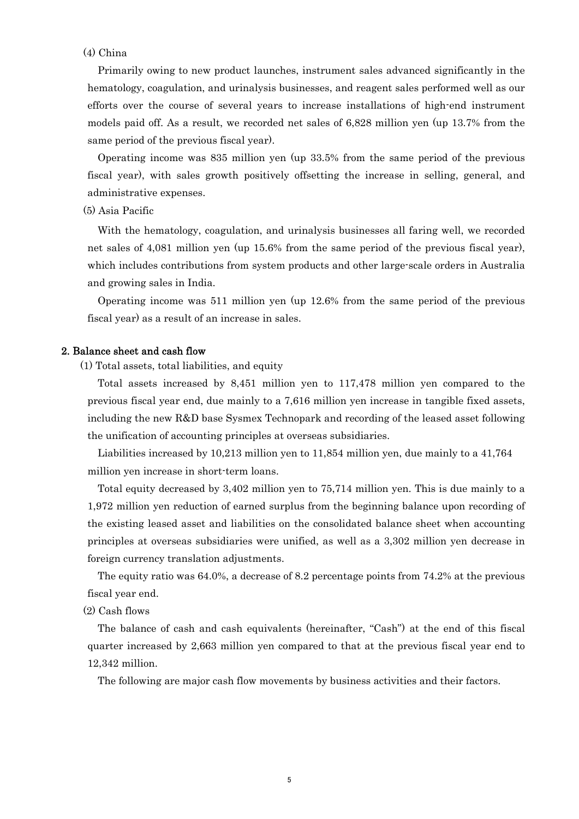### (4) China

Primarily owing to new product launches, instrument sales advanced significantly in the hematology, coagulation, and urinalysis businesses, and reagent sales performed well as our efforts over the course of several years to increase installations of high-end instrument models paid off. As a result, we recorded net sales of 6,828 million yen (up 13.7% from the same period of the previous fiscal year).

Operating income was 835 million yen (up 33.5% from the same period of the previous fiscal year), with sales growth positively offsetting the increase in selling, general, and administrative expenses.

### (5) Asia Pacific

With the hematology, coagulation, and urinalysis businesses all faring well, we recorded net sales of 4,081 million yen (up 15.6% from the same period of the previous fiscal year), which includes contributions from system products and other large-scale orders in Australia and growing sales in India.

Operating income was 511 million yen (up 12.6% from the same period of the previous fiscal year) as a result of an increase in sales.

#### 2. Balance sheet and cash flow

(1) Total assets, total liabilities, and equity

Total assets increased by 8,451 million yen to 117,478 million yen compared to the previous fiscal year end, due mainly to a 7,616 million yen increase in tangible fixed assets, including the new R&D base Sysmex Technopark and recording of the leased asset following the unification of accounting principles at overseas subsidiaries.

Liabilities increased by 10,213 million yen to 11,854 million yen, due mainly to a 41,764 million yen increase in short-term loans.

Total equity decreased by 3,402 million yen to 75,714 million yen. This is due mainly to a 1,972 million yen reduction of earned surplus from the beginning balance upon recording of the existing leased asset and liabilities on the consolidated balance sheet when accounting principles at overseas subsidiaries were unified, as well as a 3,302 million yen decrease in foreign currency translation adjustments.

The equity ratio was 64.0%, a decrease of 8.2 percentage points from 74.2% at the previous fiscal year end.

(2) Cash flows

The balance of cash and cash equivalents (hereinafter, "Cash") at the end of this fiscal quarter increased by 2,663 million yen compared to that at the previous fiscal year end to 12,342 million.

The following are major cash flow movements by business activities and their factors.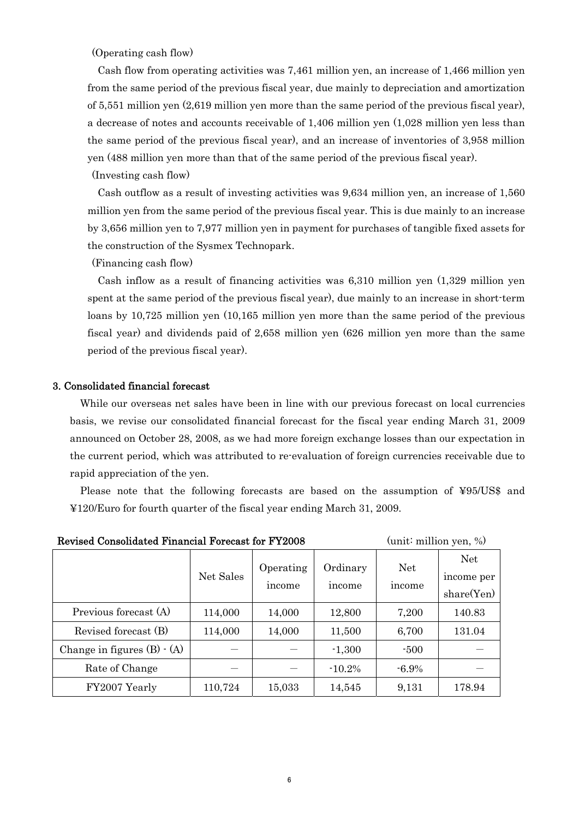(Operating cash flow)

Cash flow from operating activities was 7,461 million yen, an increase of 1,466 million yen from the same period of the previous fiscal year, due mainly to depreciation and amortization of 5,551 million yen (2,619 million yen more than the same period of the previous fiscal year), a decrease of notes and accounts receivable of 1,406 million yen (1,028 million yen less than the same period of the previous fiscal year), and an increase of inventories of 3,958 million yen (488 million yen more than that of the same period of the previous fiscal year).

(Investing cash flow)

Cash outflow as a result of investing activities was 9,634 million yen, an increase of 1,560 million yen from the same period of the previous fiscal year. This is due mainly to an increase by 3,656 million yen to 7,977 million yen in payment for purchases of tangible fixed assets for the construction of the Sysmex Technopark.

(Financing cash flow)

Cash inflow as a result of financing activities was 6,310 million yen (1,329 million yen spent at the same period of the previous fiscal year), due mainly to an increase in short-term loans by 10,725 million yen (10,165 million yen more than the same period of the previous fiscal year) and dividends paid of 2,658 million yen (626 million yen more than the same period of the previous fiscal year).

#### 3. Consolidated financial forecast

While our overseas net sales have been in line with our previous forecast on local currencies basis, we revise our consolidated financial forecast for the fiscal year ending March 31, 2009 announced on October 28, 2008, as we had more foreign exchange losses than our expectation in the current period, which was attributed to re-evaluation of foreign currencies receivable due to rapid appreciation of the yen.

Please note that the following forecasts are based on the assumption of ¥95/US\$ and ¥120/Euro for fourth quarter of the fiscal year ending March 31, 2009.

|                                   | Net Sales | Operating<br>income | Ordinary<br>income | <b>Net</b><br>income | <b>Net</b><br>income per<br>share(Yen) |
|-----------------------------------|-----------|---------------------|--------------------|----------------------|----------------------------------------|
| Previous forecast (A)             | 114,000   | 14,000              | 12,800             | 7,200                | 140.83                                 |
| Revised forecast (B)              | 114,000   | 14,000              | 11,500             | 6,700                | 131.04                                 |
| Change in figures $(B) \cdot (A)$ |           |                     | $-1,300$           | $-500$               |                                        |
| Rate of Change                    |           |                     | $-10.2\%$          | $-6.9\%$             |                                        |
| FY2007 Yearly                     | 110,724   | 15,033              | 14,545             | 9,131                | 178.94                                 |

Revised Consolidated Financial Forecast for FY2008 (unit: million yen, %)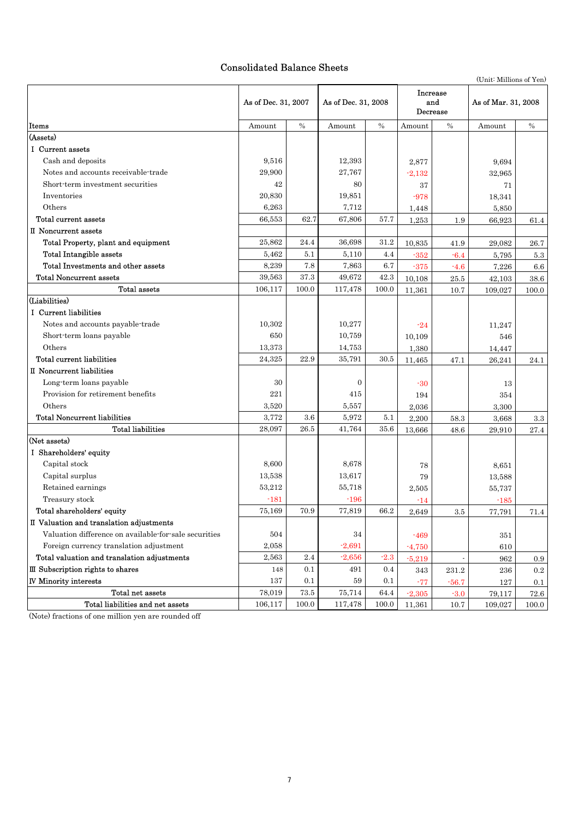# Consolidated Balance Sheets

|                                                       |                     |       |                     |        |                             |         | (Unit: Millions of Yen) |           |
|-------------------------------------------------------|---------------------|-------|---------------------|--------|-----------------------------|---------|-------------------------|-----------|
|                                                       | As of Dec. 31, 2007 |       | As of Dec. 31, 2008 |        | Increase<br>and<br>Decrease |         | As of Mar. 31, 2008     |           |
| Items                                                 | Amount              | $\%$  | Amount              | $\%$   | Amount                      | $\%$    | Amount                  | $\%$      |
| (Assets)                                              |                     |       |                     |        |                             |         |                         |           |
| I Current assets                                      |                     |       |                     |        |                             |         |                         |           |
| Cash and deposits                                     | 9,516               |       | 12,393              |        | 2,877                       |         | 9,694                   |           |
| Notes and accounts receivable-trade                   | 29,900              |       | 27,767              |        | $-2,132$                    |         | 32,965                  |           |
| Short-term investment securities                      | 42                  |       | 80                  |        | 37                          |         | 71                      |           |
| Inventories                                           | 20,830              |       | 19,851              |        | $-978$                      |         | 18,341                  |           |
| Others                                                | 6,263               |       | 7,712               |        | 1,448                       |         | 5,850                   |           |
| Total current assets                                  | 66,553              | 62.7  | 67,806              | 57.7   | 1,253                       | 1.9     | 66,923                  | 61.4      |
| II Noncurrent assets                                  |                     |       |                     |        |                             |         |                         |           |
| Total Property, plant and equipment                   | 25,862              | 24.4  | 36,698              | 31.2   | 10,835                      | 41.9    | 29,082                  | 26.7      |
| <b>Total Intangible assets</b>                        | 5,462               | 5.1   | 5,110               | 4.4    | $-352$                      | $-6.4$  | 5,795                   | $5.3\,$   |
| Total Investments and other assets                    | 8,239               | 7.8   | 7,863               | 6.7    | -375                        | $-4.6$  | 7,226                   | $6.6\,$   |
| <b>Total Noncurrent assets</b>                        | 39,563              | 37.3  | 49,672              | 42.3   | 10,108                      | 25.5    | 42,103                  | 38.6      |
| Total assets                                          | 106,117             | 100.0 | 117,478             | 100.0  | 11,361                      | 10.7    | 109,027                 | 100.0     |
| (Liabilities)                                         |                     |       |                     |        |                             |         |                         |           |
| I Current liabilities                                 |                     |       |                     |        |                             |         |                         |           |
| Notes and accounts payable-trade                      | 10,302              |       | 10,277              |        | $-24$                       |         | 11,247                  |           |
| Short-term loans payable                              | 650                 |       | 10,759              |        | 10,109                      |         | 546                     |           |
| Others                                                | 13,373              |       | 14,753              |        | 1,380                       |         | 14,447                  |           |
| Total current liabilities                             | 24,325              | 22.9  | 35,791              | 30.5   | 11,465                      | 47.1    | 26,241                  | 24.1      |
| II Noncurrent liabilities                             |                     |       |                     |        |                             |         |                         |           |
| Long-term loans payable                               | 30                  |       | $\theta$            |        | $-30$                       |         | 13                      |           |
| Provision for retirement benefits                     | 221                 |       | 415                 |        | 194                         |         | 354                     |           |
| Others                                                | 3,520               |       | 5,557               |        | 2,036                       |         | 3,300                   |           |
| <b>Total Noncurrent liabilities</b>                   | 3,772               | 3.6   | 5,972               | 5.1    | 2,200                       | 58.3    | 3,668                   | 3.3       |
| <b>Total liabilities</b>                              | 28,097              | 26.5  | 41,764              | 35.6   | 13,666                      | 48.6    | 29,910                  | 27.4      |
| (Net assets)                                          |                     |       |                     |        |                             |         |                         |           |
| I Shareholders' equity                                |                     |       |                     |        |                             |         |                         |           |
| Capital stock                                         | 8,600               |       | 8,678               |        | 78                          |         | 8,651                   |           |
| Capital surplus                                       | 13,538              |       | 13,617              |        | 79                          |         | 13,588                  |           |
| Retained earnings                                     | 53,212              |       | 55,718              |        | 2,505                       |         | 55,737                  |           |
| Treasury stock                                        | $-181$              |       | $-196$              |        | $-14$                       |         | $-185$                  |           |
| Total shareholders' equity                            | 75,169              | 70.9  | 77,819              | 66.2   | 2,649                       | $3.5\,$ | 77,791                  | 71.4      |
| II Valuation and translation adjustments              |                     |       |                     |        |                             |         |                         |           |
| Valuation difference on available for sale securities | 504                 |       | 34                  |        | $-469$                      |         | 351                     |           |
| Foreign currency translation adjustment               | 2,058               |       | $-2,691$            |        | $-4,750$                    |         | 610                     |           |
| Total valuation and translation adjustments           | 2,563               | 2.4   | $-2,656$            | $-2.3$ | $-5,219$                    |         | 962                     | 0.9       |
| III Subscription rights to shares                     | 148                 | 0.1   | 491                 | 0.4    | 343                         | 231.2   | 236                     | $\rm 0.2$ |
| <b>IV Minority interests</b>                          | 137                 | 0.1   | 59                  | 0.1    | $-77$                       | $-56.7$ | 127                     | 0.1       |
| Total net assets                                      | 78,019              | 73.5  | 75,714              | 64.4   | $-2,305$                    | $-3.0$  | 79,117                  | 72.6      |
| Total liabilities and net assets                      | 106, 117            | 100.0 | 117,478             | 100.0  | 11,361                      | 10.7    | 109,027                 | 100.0     |

(Note) fractions of one million yen are rounded off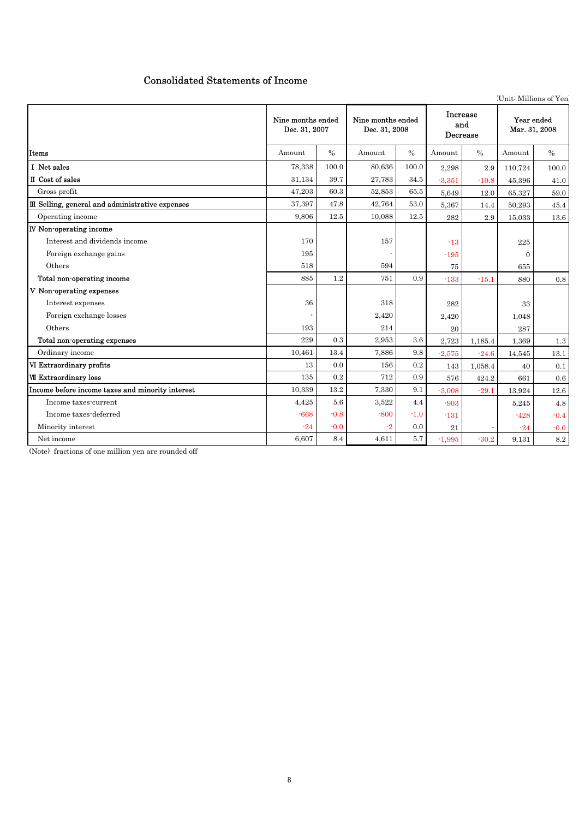# Consolidated Statements of Income

(Unit: Millions of Yen)

|                                                  | Nine months ended<br>Dec. 31, 2007 |               | Nine months ended<br>Dec. 31, 2008 |               | <b>Increase</b><br>and<br>Decrease |               | Year ended<br>Mar. 31, 2008 |        |
|--------------------------------------------------|------------------------------------|---------------|------------------------------------|---------------|------------------------------------|---------------|-----------------------------|--------|
| Items                                            | Amount                             | $\frac{0}{0}$ | Amount                             | $\frac{0}{0}$ | Amount                             | $\frac{0}{0}$ | Amount                      | $\%$   |
| I Net sales                                      | 78,338                             | 100.0         | 80,636                             | 100.0         | 2,298                              | 2.9           | 110,724                     | 100.0  |
| <b>II</b> Cost of sales                          | 31.134                             | 39.7          | 27,783                             | 34.5          | $-3,351$                           | $-10.8$       | 45.396                      | 41.0   |
| Gross profit                                     | 47,203                             | 60.3          | 52,853                             | 65.5          | 5.649                              | 12.0          | 65.327                      | 59.0   |
| III Selling, general and administrative expenses | 37,397                             | 47.8          | 42,764                             | 53.0          | 5,367                              | 14.4          | 50,293                      | 45.4   |
| Operating income                                 | 9.806                              | 12.5          | 10.088                             | 12.5          | 282                                | 2.9           | 15,033                      | 13.6   |
| <b>IV Non-operating income</b>                   |                                    |               |                                    |               |                                    |               |                             |        |
| Interest and dividends income                    | 170                                |               | 157                                |               | $-13$                              |               | 225                         |        |
| Foreign exchange gains                           | 195                                |               |                                    |               | $-195$                             |               | $\Omega$                    |        |
| Others                                           | 518                                |               | 594                                |               | 75                                 |               | 655                         |        |
| Total non-operating income                       | 885                                | 1.2           | 751                                | 0.9           | $-133$                             | $-15.1$       | 880                         | 0.8    |
| V Non-operating expenses                         |                                    |               |                                    |               |                                    |               |                             |        |
| Interest expenses                                | 36                                 |               | 318                                |               | 282                                |               | 33                          |        |
| Foreign exchange losses                          |                                    |               | 2,420                              |               | 2.420                              |               | 1,048                       |        |
| Others                                           | 193                                |               | 214                                |               | 20                                 |               | 287                         |        |
| Total non-operating expenses                     | 229                                | 0.3           | 2,953                              | 3.6           | 2,723                              | 1,185.4       | 1,369                       | 1.3    |
| Ordinary income                                  | 10,461                             | 13.4          | 7,886                              | 9.8           | $-2,575$                           | $-24.6$       | 14,545                      | 13.1   |
| VI Extraordinary profits                         | 13                                 | 0.0           | 156                                | 0.2           | 143                                | 1,058.4       | 40                          | 0.1    |
| <b>VII Extraordinary loss</b>                    | 135                                | 0.2           | 712                                | 0.9           | 576                                | 424.2         | 661                         | 0.6    |
| Income before income taxes and minority interest | 10,339                             | $13.2\,$      | 7,330                              | 9.1           | $-3.008$                           | $-29.1$       | 13.924                      | 12.6   |
| Income taxes-current                             | 4,425                              | 5.6           | 3,522                              | 4.4           | $-903$                             |               | 5,245                       | 4.8    |
| Income taxes-deferred                            | $-668$                             | $-0.8$        | $-800$                             | $-1.0$        | $-131$                             |               | $-428$                      | $-0.4$ |
| Minority interest                                | $-24$                              | $-0.0$        | $-2$                               | 0.0           | 21                                 |               | $-24$                       | $-0.0$ |
| Net income                                       | 6,607                              | 8.4           | 4,611                              | 5.7           | $-1,995$                           | $-30.2$       | 9,131                       | 8.2    |

(Note) fractions of one million yen are rounded off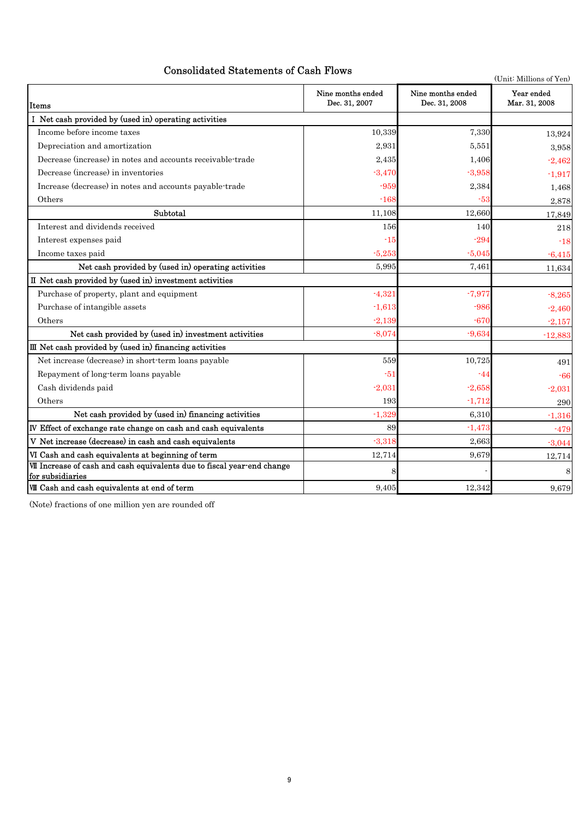# Consolidated Statements of Cash Flows

(Unit: Millions of Yen) Items Ⅰ Net cash provided by (used in) operating activities Income before income taxes 10,339 7,330 7,330 Depreciation and amortization 2,931 5,551 3,958 Decrease (increase) in notes and accounts receivable-trade 2,435 1,406 1,406 -2,462 Decrease (increase) in inventories  $-3,470$   $-3,958$   $-1,917$ Increase (decrease) in notes and accounts payable-trade -959 2,384 2,384 1,468 Others  $2.878$   $-168$   $-53$   $-53$   $-2.878$ Subtotal 11,108 12,660 17,849 Interest and dividends received 218 218 Interest expenses paid  $-18$  -18  $\frac{-5}{5}$  -5,045  $\frac{-6}{415}$  -6,415 Net cash provided by (used in) operating activities 5,995 5,995 7,461 7,461 11,634 Ⅱ Net cash provided by (used in) investment activities Purchase of property, plant and equipment  $-4,321$   $-7,977$   $-8.265$ Purchase of intangible assets  $-2,460$ Others  $-2,139$   $-670$   $-2,157$ Net cash provided by (used in) investment activities  $-8,074$   $-9,634$   $-12,883$ Net increase (decrease) in short-term loans payable 559 59 10,725 491 Repayment of long-term loans payable  $-51$   $-44$   $-66$  $\frac{-2,031}{2,031}$   $\frac{-2,031}{2,031}$   $\frac{-2,058}{2,031}$ 193 -1,712 290 -1,329 6,310 -1,316 Ⅳ Effect of exchange rate change on cash and cash equivalents 89 -1,473 -479 **V** Net increase (decrease) in cash and cash equivalents  $-3,318$   $-3,318$   $-3,663$   $-3,044$ VI Cash and cash equivalents at beginning of term  $12,714$   $9,679$   $12,714$ 8 - 8 **WH** Cash and cash equivalents at end of term  $9,405$   $9,405$   $12,342$   $9,679$ Ⅶ Increase of cash and cash equivalents due to fiscal year-end change for subsidiaries Others Ⅲ Net cash provided by (used in) financing activities Net cash provided by (used in) financing activities Nine months ended Dec. 31, 2007 Nine months ended Dec. 31, 2008 Year ended Mar. 31, 2008

(Note) fractions of one million yen are rounded off